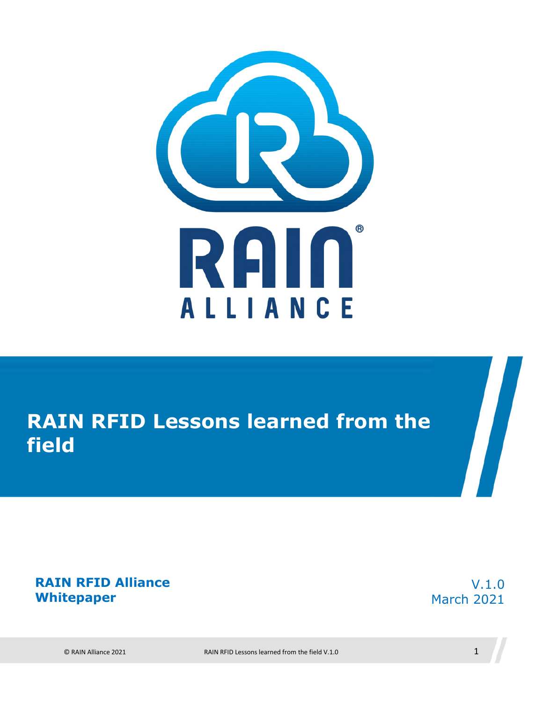

## **RAIN RFID Lessons learned from the field**

#### **RAIN RFID Alliance Whitepaper**

V.1.0 March 2021

© RAIN Alliance 2021 RAIN RFID Lessons learned from the field V.1.0 1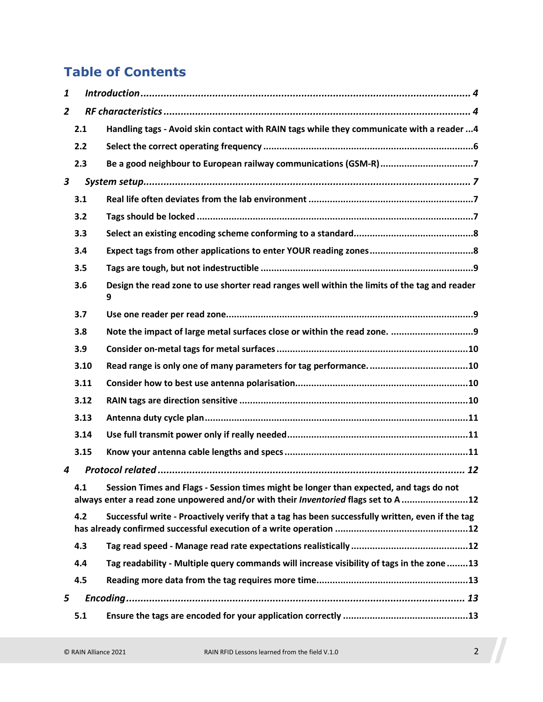#### **Table of Contents**

| 1              |      |                                                                                                                                                                              |
|----------------|------|------------------------------------------------------------------------------------------------------------------------------------------------------------------------------|
| $\overline{2}$ |      |                                                                                                                                                                              |
|                | 2.1  | Handling tags - Avoid skin contact with RAIN tags while they communicate with a reader 4                                                                                     |
|                | 2.2  |                                                                                                                                                                              |
|                | 2.3  | Be a good neighbour to European railway communications (GSM-R)7                                                                                                              |
| 3              |      |                                                                                                                                                                              |
|                | 3.1  |                                                                                                                                                                              |
|                | 3.2  |                                                                                                                                                                              |
|                | 3.3  |                                                                                                                                                                              |
|                | 3.4  |                                                                                                                                                                              |
|                | 3.5  |                                                                                                                                                                              |
|                | 3.6  | Design the read zone to use shorter read ranges well within the limits of the tag and reader<br>9                                                                            |
|                | 3.7  |                                                                                                                                                                              |
|                | 3.8  |                                                                                                                                                                              |
|                | 3.9  |                                                                                                                                                                              |
|                | 3.10 |                                                                                                                                                                              |
|                | 3.11 |                                                                                                                                                                              |
|                | 3.12 |                                                                                                                                                                              |
|                | 3.13 |                                                                                                                                                                              |
|                | 3.14 |                                                                                                                                                                              |
|                | 3.15 |                                                                                                                                                                              |
| 4              |      |                                                                                                                                                                              |
|                | 4.1  | Session Times and Flags - Session times might be longer than expected, and tags do not<br>always enter a read zone unpowered and/or with their Inventoried flags set to A 12 |
|                | 4.2  | Successful write - Proactively verify that a tag has been successfully written, even if the tag                                                                              |
|                | 4.3  |                                                                                                                                                                              |
|                | 4.4  | Tag readability - Multiple query commands will increase visibility of tags in the zone 13                                                                                    |
|                | 4.5  |                                                                                                                                                                              |
| 5              |      |                                                                                                                                                                              |
|                | 5.1  |                                                                                                                                                                              |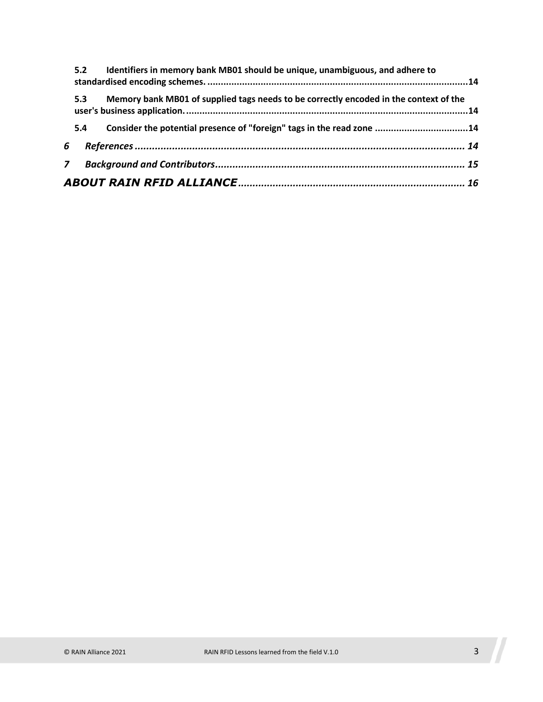|   | 5.2 | Identifiers in memory bank MB01 should be unique, unambiguous, and adhere to          |  |
|---|-----|---------------------------------------------------------------------------------------|--|
|   | 5.3 | Memory bank MB01 of supplied tags needs to be correctly encoded in the context of the |  |
|   | 5.4 | Consider the potential presence of "foreign" tags in the read zone 14                 |  |
| 6 |     |                                                                                       |  |
| 7 |     |                                                                                       |  |
|   |     |                                                                                       |  |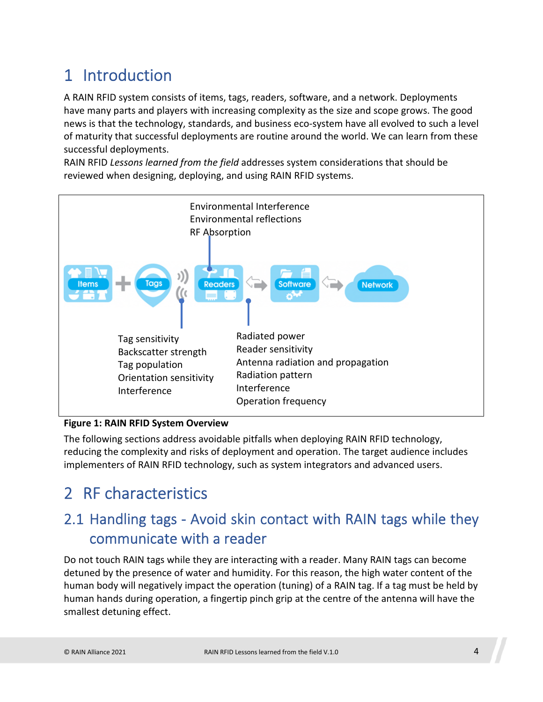## <span id="page-3-0"></span>1 Introduction

A RAIN RFID system consists of items, tags, readers, software, and a network. Deployments have many parts and players with increasing complexity as the size and scope grows. The good news is that the technology, standards, and business eco-system have all evolved to such a level of maturity that successful deployments are routine around the world. We can learn from these successful deployments.

RAIN RFID *Lessons learned from the field* addresses system considerations that should be reviewed when designing, deploying, and using RAIN RFID systems.



#### **Figure 1: RAIN RFID System Overview**

The following sections address avoidable pitfalls when deploying RAIN RFID technology, reducing the complexity and risks of deployment and operation. The target audience includes implementers of RAIN RFID technology, such as system integrators and advanced users.

## <span id="page-3-1"></span>2 RF characteristics

### <span id="page-3-2"></span>2.1 Handling tags - Avoid skin contact with RAIN tags while they communicate with a reader

Do not touch RAIN tags while they are interacting with a reader. Many RAIN tags can become detuned by the presence of water and humidity. For this reason, the high water content of the human body will negatively impact the operation (tuning) of a RAIN tag. If a tag must be held by human hands during operation, a fingertip pinch grip at the centre of the antenna will have the smallest detuning effect.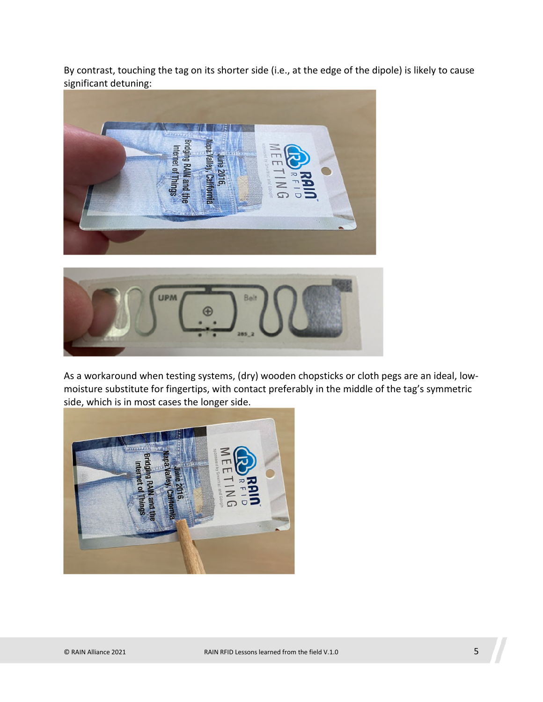By contrast, touching the tag on its shorter side (i.e., at the edge of the dipole) is likely to cause significant detuning:





As a workaround when testing systems, (dry) wooden chopsticks or cloth pegs are an ideal, lowmoisture substitute for fingertips, with contact preferably in the middle of the tag's symmetric side, which is in most cases the longer side.

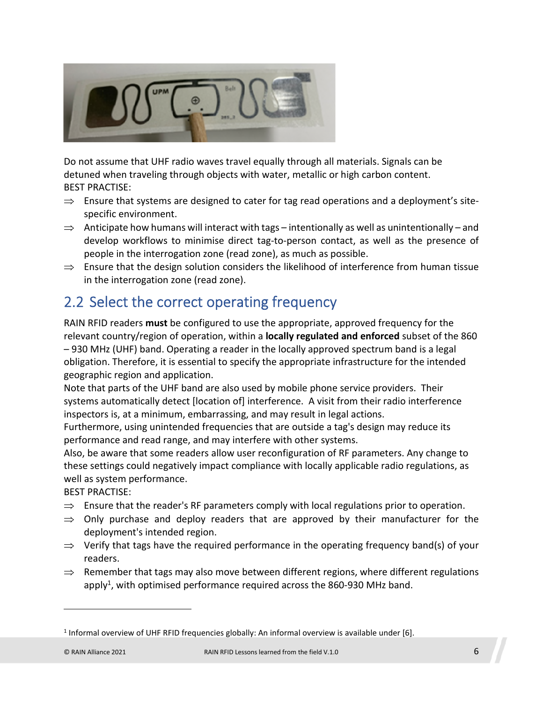

Do not assume that UHF radio waves travel equally through all materials. Signals can be detuned when traveling through objects with water, metallic or high carbon content. BEST PRACTISE:

- $\Rightarrow$  Ensure that systems are designed to cater for tag read operations and a deployment's sitespecific environment.
- $\Rightarrow$  Anticipate how humans will interact with tags intentionally as well as unintentionally and develop workflows to minimise direct tag-to-person contact, as well as the presence of people in the interrogation zone (read zone), as much as possible.
- $\Rightarrow$  Ensure that the design solution considers the likelihood of interference from human tissue in the interrogation zone (read zone).

### <span id="page-5-0"></span>2.2 Select the correct operating frequency

RAIN RFID readers **must** be configured to use the appropriate, approved frequency for the relevant country/region of operation, within a **locally regulated and enforced** subset of the 860 – 930 MHz (UHF) band. Operating a reader in the locally approved spectrum band is a legal obligation. Therefore, it is essential to specify the appropriate infrastructure for the intended geographic region and application.

Note that parts of the UHF band are also used by mobile phone service providers. Their systems automatically detect [location of] interference. A visit from their radio interference inspectors is, at a minimum, embarrassing, and may result in legal actions.

Furthermore, using unintended frequencies that are outside a tag's design may reduce its performance and read range, and may interfere with other systems.

Also, be aware that some readers allow user reconfiguration of RF parameters. Any change to these settings could negatively impact compliance with locally applicable radio regulations, as well as system performance.

- $\Rightarrow$  Ensure that the reader's RF parameters comply with local regulations prior to operation.
- $\Rightarrow$  Only purchase and deploy readers that are approved by their manufacturer for the deployment's intended region.
- $\Rightarrow$  Verify that tags have the required performance in the operating frequency band(s) of your readers.
- $\Rightarrow$  Remember that tags may also move between different regions, where different regulations apply<sup>1</sup>[,](#page-5-1) with optimised performance required across the 860-930 MHz band.

<span id="page-5-1"></span><sup>&</sup>lt;sup>1</sup> Informal overview of UHF RFID frequencies globally: An informal overview is available under [6].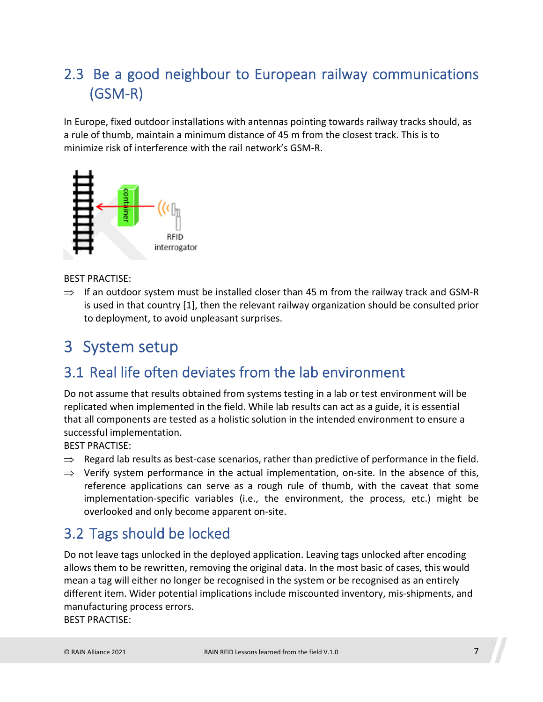## <span id="page-6-0"></span>2.3 Be a good neighbour to European railway communications (GSM-R)

In Europe, fixed outdoor installations with antennas pointing towards railway tracks should, as a rule of thumb, maintain a minimum distance of 45 m from the closest track. This is to minimize risk of interference with the rail network's GSM-R.



BEST PRACTISE:

 $\Rightarrow$  If an outdoor system must be installed closer than 45 m from the railway track and GSM-R is used in that country [\[1\],](#page-13-4) then the relevant railway organization should be consulted prior to deployment, to avoid unpleasant surprises.

## <span id="page-6-1"></span>3 System setup

### <span id="page-6-2"></span>3.1 Real life often deviates from the lab environment

Do not assume that results obtained from systems testing in a lab or test environment will be replicated when implemented in the field. While lab results can act as a guide, it is essential that all components are tested as a holistic solution in the intended environment to ensure a successful implementation.

BEST PRACTISE:

- $\Rightarrow$  Regard lab results as best-case scenarios, rather than predictive of performance in the field.
- $\Rightarrow$  Verify system performance in the actual implementation, on-site. In the absence of this, reference applications can serve as a rough rule of thumb, with the caveat that some implementation-specific variables (i.e., the environment, the process, etc.) might be overlooked and only become apparent on-site.

#### <span id="page-6-3"></span>3.2 Tags should be locked

Do not leave tags unlocked in the deployed application. Leaving tags unlocked after encoding allows them to be rewritten, removing the original data. In the most basic of cases, this would mean a tag will either no longer be recognised in the system or be recognised as an entirely different item. Wider potential implications include miscounted inventory, mis-shipments, and manufacturing process errors.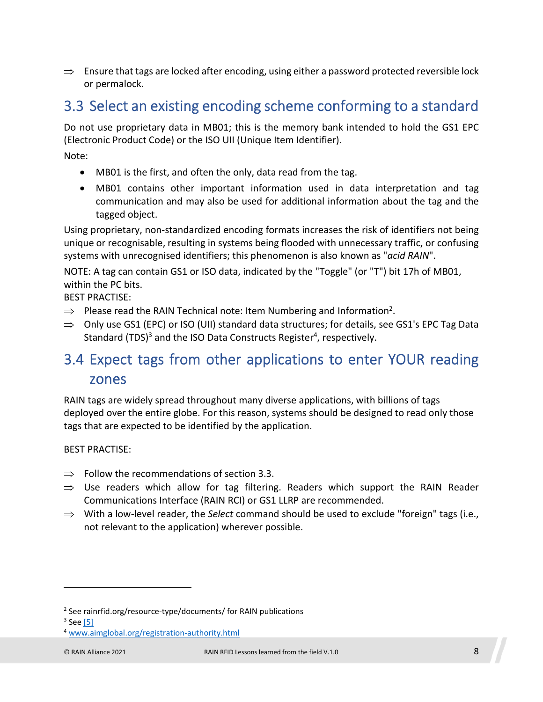$\Rightarrow$  Ensure that tags are locked after encoding, using either a password protected reversible lock or permalock.

### <span id="page-7-0"></span>3.3 Select an existing encoding scheme conforming to a standard

Do not use proprietary data in MB01; this is the memory bank intended to hold the GS1 EPC (Electronic Product Code) or the ISO UII (Unique Item Identifier).

Note:

- MB01 is the first, and often the only, data read from the tag.
- MB01 contains other important information used in data interpretation and tag communication and may also be used for additional information about the tag and the tagged object.

Using proprietary, non-standardized encoding formats increases the risk of identifiers not being unique or recognisable, resulting in systems being flooded with unnecessary traffic, or confusing systems with unrecognised identifiers; this phenomenon is also known as "*acid RAIN*".

NOTE: A tag can contain GS1 or ISO data, indicated by the "Toggle" (or "T") bit 17h of MB01, within the PC bits.

BEST PRACTISE:

- $\Rightarrow$  Please read the RAIN Technical note: Item Numbering and Information<sup>[2](#page-7-2)</sup>.
- $\Rightarrow$  Only use GS1 (EPC) or ISO (UII) standard data structures; for details, see GS1's EPC Tag Data Standard (TDS)<sup>[3](#page-7-3)</sup> and the ISO Data Constructs Register<sup>[4](#page-7-4)</sup>, respectively.

#### <span id="page-7-1"></span>3.4 Expect tags from other applications to enter YOUR reading zones

RAIN tags are widely spread throughout many diverse applications, with billions of tags deployed over the entire globe. For this reason, systems should be designed to read only those tags that are expected to be identified by the application.

- $\Rightarrow$  Follow the recommendations of section [3.3](#page-7-0).
- $\Rightarrow$  Use readers which allow for tag filtering. Readers which support the RAIN Reader Communications Interface (RAIN RCI) or GS1 LLRP are recommended.
- $\Rightarrow$  With a low-level reader, the *Select* command should be used to exclude "foreign" tags (i.e., not relevant to the application) wherever possible.

<span id="page-7-3"></span><span id="page-7-2"></span><sup>&</sup>lt;sup>2</sup> See rainrfid.org/resource-type/documents/ for RAIN publications

<span id="page-7-4"></span><sup>&</sup>lt;sup>3</sup> See <u>[5]</u>

<sup>4</sup> www.aimglobal.org/registration-authority.html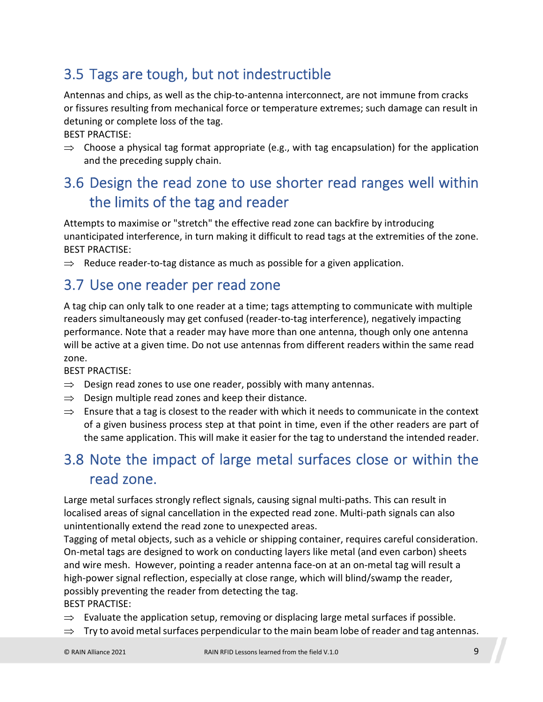## <span id="page-8-0"></span>3.5 Tags are tough, but not indestructible

Antennas and chips, as well as the chip-to-antenna interconnect, are not immune from cracks or fissures resulting from mechanical force or temperature extremes; such damage can result in detuning or complete loss of the tag.

BEST PRACTISE:

 $\Rightarrow$  Choose a physical tag format appropriate (e.g., with tag encapsulation) for the application and the preceding supply chain.

## <span id="page-8-1"></span>3.6 Design the read zone to use shorter read ranges well within the limits of the tag and reader

Attempts to maximise or "stretch" the effective read zone can backfire by introducing unanticipated interference, in turn making it difficult to read tags at the extremities of the zone. BEST PRACTISE:

 $\Rightarrow$  Reduce reader-to-tag distance as much as possible for a given application.

#### <span id="page-8-2"></span>3.7 Use one reader per read zone

A tag chip can only talk to one reader at a time; tags attempting to communicate with multiple readers simultaneously may get confused (reader-to-tag interference), negatively impacting performance. Note that a reader may have more than one antenna, though only one antenna will be active at a given time. Do not use antennas from different readers within the same read zone.

BEST PRACTISE:

- $\Rightarrow$  Design read zones to use one reader, possibly with many antennas.
- $\Rightarrow$  Design multiple read zones and keep their distance.
- $\Rightarrow$  Ensure that a tag is closest to the reader with which it needs to communicate in the context of a given business process step at that point in time, even if the other readers are part of the same application. This will make it easier for the tag to understand the intended reader.

## <span id="page-8-3"></span>3.8 Note the impact of large metal surfaces close or within the read zone.

Large metal surfaces strongly reflect signals, causing signal multi-paths. This can result in localised areas of signal cancellation in the expected read zone. Multi-path signals can also unintentionally extend the read zone to unexpected areas.

Tagging of metal objects, such as a vehicle or shipping container, requires careful consideration. On-metal tags are designed to work on conducting layers like metal (and even carbon) sheets and wire mesh. However, pointing a reader antenna face-on at an on-metal tag will result a high-power signal reflection, especially at close range, which will blind/swamp the reader, possibly preventing the reader from detecting the tag.

- $\Rightarrow$  Evaluate the application setup, removing or displacing large metal surfaces if possible.
- $\Rightarrow$  Try to avoid metal surfaces perpendicular to the main beam lobe of reader and tag antennas.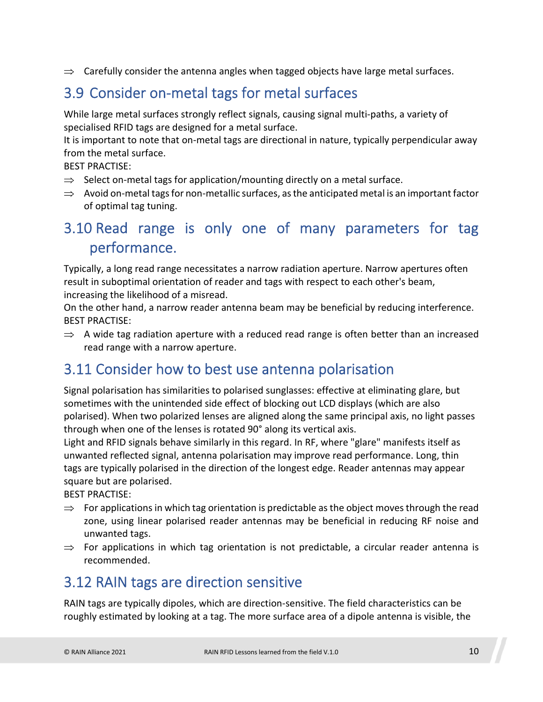$\Rightarrow$  Carefully consider the antenna angles when tagged objects have large metal surfaces.

## <span id="page-9-0"></span>3.9 Consider on-metal tags for metal surfaces

While large metal surfaces strongly reflect signals, causing signal multi-paths, a variety of specialised RFID tags are designed for a metal surface.

It is important to note that on-metal tags are directional in nature, typically perpendicular away from the metal surface.

BEST PRACTISE:

- $\Rightarrow$  Select on-metal tags for application/mounting directly on a metal surface.
- $\Rightarrow$  Avoid on-metal tags for non-metallic surfaces, as the anticipated metal is an important factor of optimal tag tuning.

#### <span id="page-9-1"></span>3.10 Read range is only one of many parameters for tag performance.

Typically, a long read range necessitates a narrow radiation aperture. Narrow apertures often result in suboptimal orientation of reader and tags with respect to each other's beam, increasing the likelihood of a misread.

On the other hand, a narrow reader antenna beam may be beneficial by reducing interference. BEST PRACTISE:

 $\Rightarrow$  A wide tag radiation aperture with a reduced read range is often better than an increased read range with a narrow aperture.

#### <span id="page-9-2"></span>3.11 Consider how to best use antenna polarisation

Signal polarisation has similarities to polarised sunglasses: effective at eliminating glare, but sometimes with the unintended side effect of blocking out LCD displays (which are also polarised). When two polarized lenses are aligned along the same principal axis, no light passes through when one of the lenses is rotated 90° along its vertical axis.

Light and RFID signals behave similarly in this regard. In RF, where "glare" manifests itself as unwanted reflected signal, antenna polarisation may improve read performance. Long, thin tags are typically polarised in the direction of the longest edge. Reader antennas may appear square but are polarised.

BEST PRACTISE:

- $\Rightarrow$  For applications in which tag orientation is predictable as the object moves through the read zone, using linear polarised reader antennas may be beneficial in reducing RF noise and unwanted tags.
- $\Rightarrow$  For applications in which tag orientation is not predictable, a circular reader antenna is recommended.

#### <span id="page-9-3"></span>3.12 RAIN tags are direction sensitive

RAIN tags are typically dipoles, which are direction-sensitive. The field characteristics can be roughly estimated by looking at a tag. The more surface area of a dipole antenna is visible, the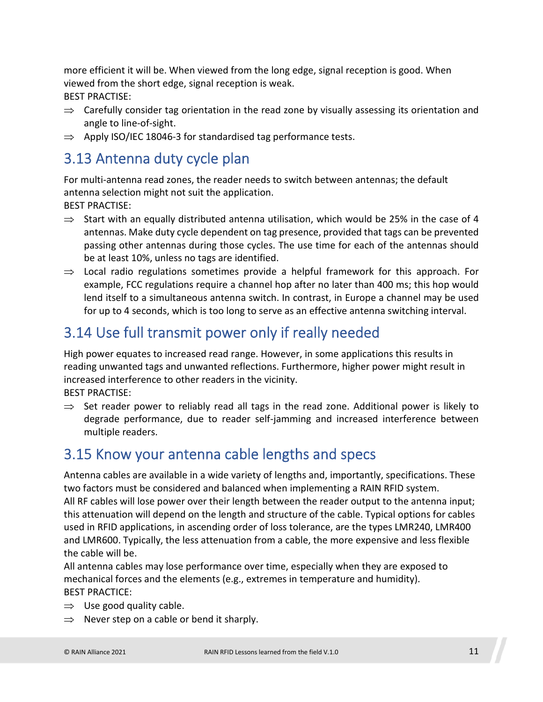more efficient it will be. When viewed from the long edge, signal reception is good. When viewed from the short edge, signal reception is weak. BEST PRACTISE:

- $\Rightarrow$  Carefully consider tag orientation in the read zone by visually assessing its orientation and angle to line-of-sight.
- $\Rightarrow$  Apply ISO/IEC 18046-3 for standardised tag performance tests.

#### <span id="page-10-0"></span>3.13 Antenna duty cycle plan

For multi-antenna read zones, the reader needs to switch between antennas; the default antenna selection might not suit the application.

BEST PRACTISE:

- $\Rightarrow$  Start with an equally distributed antenna utilisation, which would be 25% in the case of 4 antennas. Make duty cycle dependent on tag presence, provided that tags can be prevented passing other antennas during those cycles. The use time for each of the antennas should be at least 10%, unless no tags are identified.
- $\Rightarrow$  Local radio regulations sometimes provide a helpful framework for this approach. For example, FCC regulations require a channel hop after no later than 400 ms; this hop would lend itself to a simultaneous antenna switch. In contrast, in Europe a channel may be used for up to 4 seconds, which is too long to serve as an effective antenna switching interval.

### <span id="page-10-1"></span>3.14 Use full transmit power only if really needed

High power equates to increased read range. However, in some applications this results in reading unwanted tags and unwanted reflections. Furthermore, higher power might result in increased interference to other readers in the vicinity.

BEST PRACTISE:

 $\Rightarrow$  Set reader power to reliably read all tags in the read zone. Additional power is likely to degrade performance, due to reader self-jamming and increased interference between multiple readers.

#### <span id="page-10-2"></span>3.15 Know your antenna cable lengths and specs

Antenna cables are available in a wide variety of lengths and, importantly, specifications. These two factors must be considered and balanced when implementing a RAIN RFID system. All RF cables will lose power over their length between the reader output to the antenna input; this attenuation will depend on the length and structure of the cable. Typical options for cables used in RFID applications, in ascending order of loss tolerance, are the types LMR240, LMR400 and LMR600. Typically, the less attenuation from a cable, the more expensive and less flexible the cable will be.

All antenna cables may lose performance over time, especially when they are exposed to mechanical forces and the elements (e.g., extremes in temperature and humidity). BEST PRACTICE:

- $\Rightarrow$  Use good quality cable.
- $\Rightarrow$  Never step on a cable or bend it sharply.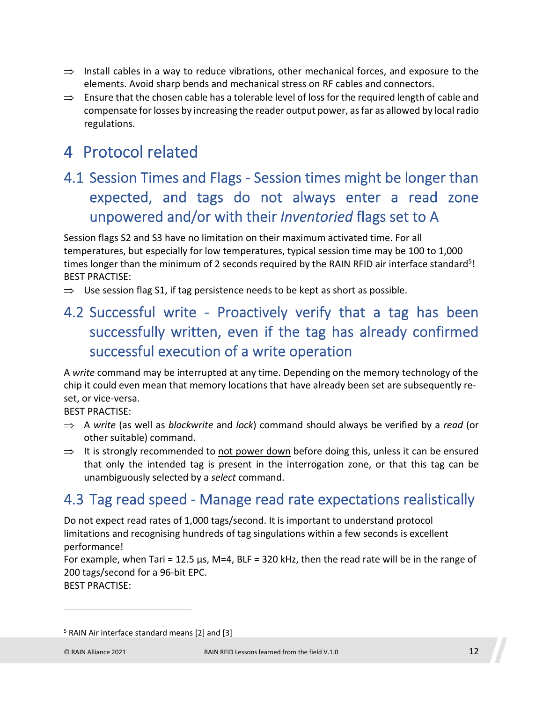- $\Rightarrow$  Install cables in a way to reduce vibrations, other mechanical forces, and exposure to the elements. Avoid sharp bends and mechanical stress on RF cables and connectors.
- $\Rightarrow$  Ensure that the chosen cable has a tolerable level of loss for the required length of cable and compensate for losses by increasing the reader output power, as far as allowed by local radio regulations.

## <span id="page-11-0"></span>4 Protocol related

## <span id="page-11-1"></span>4.1 Session Times and Flags - Session times might be longer than expected, and tags do not always enter a read zone unpowered and/or with their *Inventoried* flags set to A

<span id="page-11-5"></span>Session flags S2 and S3 have no limitation on their maximum activated time. For all temperatures, but especially for low temperatures, typical session time may be 100 to 1,000 times longer than the minimum of 2 seconds required by the RAIN RFID air interface standard<sup>[5](#page-11-4)</sup>! BEST PRACTISE:

 $\Rightarrow$  Use session flag S1, if tag persistence needs to be kept as short as possible.

## <span id="page-11-2"></span>4.2 Successful write - Proactively verify that a tag has been successfully written, even if the tag has already confirmed successful execution of a write operation

A *write* command may be interrupted at any time. Depending on the memory technology of the chip it could even mean that memory locations that have already been set are subsequently reset, or vice-versa.

BEST PRACTISE:

- A *write* (as well as *blockwrite* and *lock*) command should always be verified by a *read* (or other suitable) command.
- $\Rightarrow$  It is strongly recommended to not power down before doing this, unless it can be ensured that only the intended tag is present in the interrogation zone, or that this tag can be unambiguously selected by a *select* command.

#### <span id="page-11-3"></span>4.3 Tag read speed - Manage read rate expectations realistically

Do not expect read rates of 1,000 tags/second. It is important to understand protocol limitations and recognising hundreds of tag singulations within a few seconds is excellent performance!

For example, when Tari = 12.5  $\mu$ s, M=4, BLF = 320 kHz, then the read rate will be in the range of 200 tags/second for a 96-bit EPC.

<span id="page-11-4"></span><sup>&</sup>lt;sup>5</sup> RAIN Air interface standard means [2] and [3]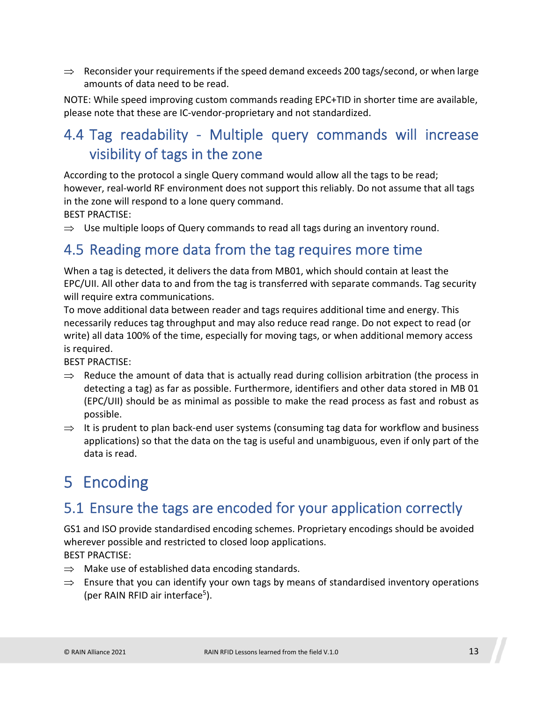$\Rightarrow$  Reconsider your requirements if the speed demand exceeds 200 tags/second, or when large amounts of data need to be read.

NOTE: While speed improving custom commands reading EPC+TID in shorter time are available, please note that these are IC-vendor-proprietary and not standardized.

## <span id="page-12-0"></span>4.4 Tag readability - Multiple query commands will increase visibility of tags in the zone

According to the protocol a single Query command would allow all the tags to be read; however, real-world RF environment does not support this reliably. Do not assume that all tags in the zone will respond to a lone query command.

BEST PRACTISE:

 $\Rightarrow$  Use multiple loops of Query commands to read all tags during an inventory round.

#### <span id="page-12-1"></span>4.5 Reading more data from the tag requires more time

When a tag is detected, it delivers the data from MB01, which should contain at least the EPC/UII. All other data to and from the tag is transferred with separate commands. Tag security will require extra communications.

To move additional data between reader and tags requires additional time and energy. This necessarily reduces tag throughput and may also reduce read range. Do not expect to read (or write) all data 100% of the time, especially for moving tags, or when additional memory access is required.

BEST PRACTISE:

- $\Rightarrow$  Reduce the amount of data that is actually read during collision arbitration (the process in detecting a tag) as far as possible. Furthermore, identifiers and other data stored in MB 01 (EPC/UII) should be as minimal as possible to make the read process as fast and robust as possible.
- $\Rightarrow$  It is prudent to plan back-end user systems (consuming tag data for workflow and business applications) so that the data on the tag is useful and unambiguous, even if only part of the data is read.

## <span id="page-12-2"></span>5 Encoding

#### <span id="page-12-3"></span>5.1 Ensure the tags are encoded for your application correctly

GS1 and ISO provide standardised encoding schemes. Proprietary encodings should be avoided wherever possible and restricted to closed loop applications. BEST PRACTISE:

- $\Rightarrow$  Make use of established data encoding standards.
- $\Rightarrow$  Ensure that you can identify your own tags by means of standardised inventory operations (per RAIN RFID air interface<sup>[5](#page-11-5)</sup>).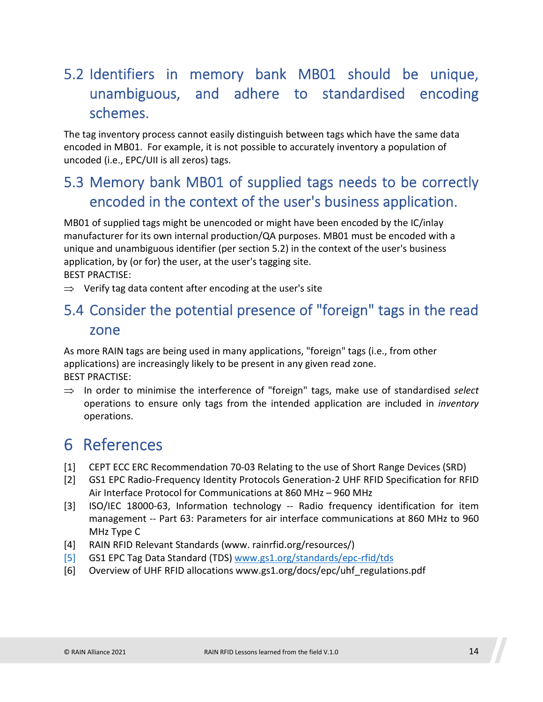## <span id="page-13-0"></span>5.2 Identifiers in memory bank MB01 should be unique, unambiguous, and adhere to standardised encoding schemes.

The tag inventory process cannot easily distinguish between tags which have the same data encoded in MB01. For example, it is not possible to accurately inventory a population of uncoded (i.e., EPC/UII is all zeros) tags.

### <span id="page-13-1"></span>5.3 Memory bank MB01 of supplied tags needs to be correctly encoded in the context of the user's business application.

MB01 of supplied tags might be unencoded or might have been encoded by the IC/inlay manufacturer for its own internal production/QA purposes. MB01 must be encoded with a unique and unambiguous identifier (per section 5.2) in the context of the user's business application, by (or for) the user, at the user's tagging site. BEST PRACTISE:

<span id="page-13-2"></span> $\Rightarrow$  Verify tag data content after encoding at the user's site

#### 5.4 Consider the potential presence of "foreign" tags in the read zone

As more RAIN tags are being used in many applications, "foreign" tags (i.e., from other applications) are increasingly likely to be present in any given read zone. BEST PRACTISE:

 $\Rightarrow$  In order to minimise the interference of "foreign" tags, make use of standardised *select* operations to ensure only tags from the intended application are included in *inventory* operations.

## <span id="page-13-3"></span>6 References

- <span id="page-13-4"></span>[1] CEPT ECC ERC Recommendation 70-03 Relating to the use of Short Range Devices (SRD)
- [2] GS1 EPC Radio-Frequency Identity Protocols Generation-2 UHF RFID Specification for RFID Air Interface Protocol for Communications at 860 MHz – 960 MHz
- [3] ISO/IEC 18000-63, Information technology -- Radio frequency identification for item management -- Part 63: Parameters for air interface communications at 860 MHz to 960 MHz Type C
- [4] RAIN RFID Relevant Standards (www. rainrfid.org/resources/)
- [5] GS1 EPC Tag Data Standard (TDS) [www.gs1.org/standards/epc-rfid/tds](http://www.gs1.org/standards/epc-rfid/tds)
- [6] Overview of UHF RFID allocations www.gs1.org/docs/epc/uhf\_regulations.pdf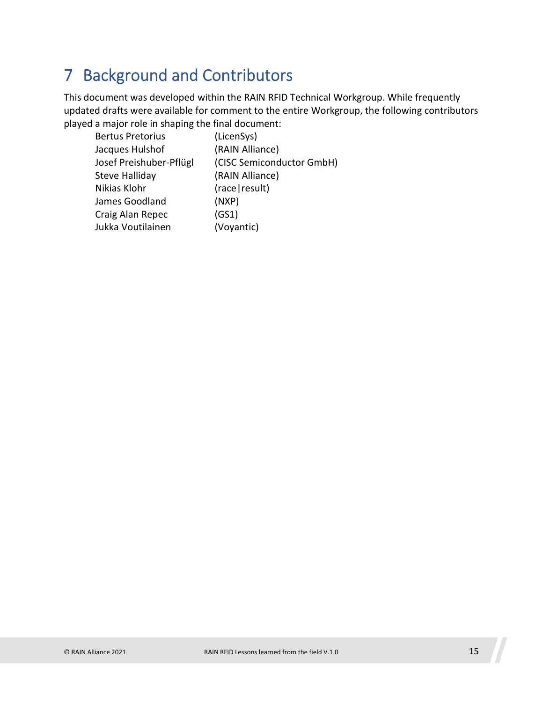## <span id="page-14-0"></span>7 Background and Contributors

This document was developed within the RAIN RFID Technical Workgroup. While frequently updated drafts were available for comment to the entire Workgroup, the following contributors played a major role in shaping the final document:

| <b>Bertus Pretorius</b> | (LicenSys)                |
|-------------------------|---------------------------|
| Jacques Hulshof         | (RAIN Alliance)           |
| Josef Preishuber-Pflügl | (CISC Semiconductor GmbH) |
| Steve Halliday          | (RAIN Alliance)           |
| Nikias Klohr            | (race   result)           |
| James Goodland          | (NXP)                     |
| Craig Alan Repec        | (GS1)                     |
| Jukka Voutilainen       | (Voyantic)                |